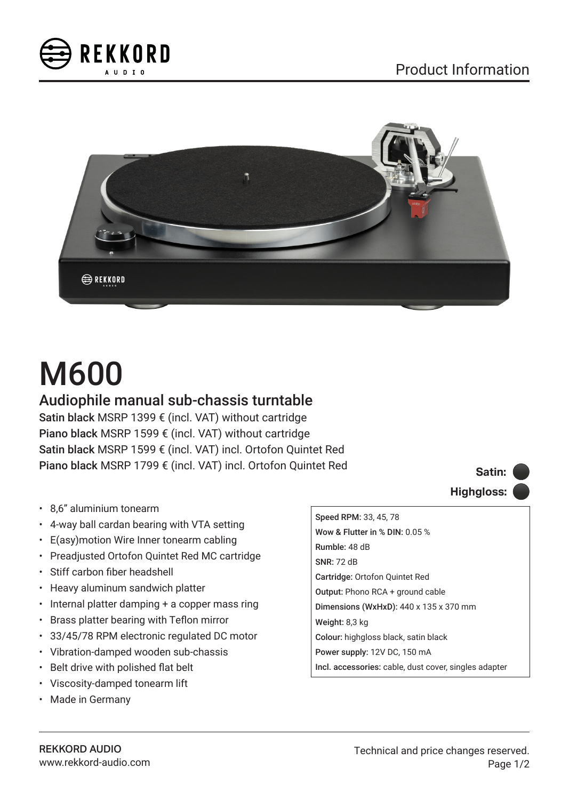



# M600

## Audiophile manual sub-chassis turntable

Satin black MSRP 1399 € (incl. VAT) without cartridge Piano black MSRP 1599 € (incl. VAT) without cartridge Satin black MSRP 1599 € (incl. VAT) incl. Ortofon Quintet Red Piano black MSRP 1799 € (incl. VAT) incl. Ortofon Quintet Red

- 8,6" aluminium tonearm
- 4-way ball cardan bearing with VTA setting
- E(asy)motion Wire Inner tonearm cabling
- Preadjusted Ortofon Quintet Red MC cartridge
- Stiff carbon fiber headshell
- Heavy aluminum sandwich platter
- Internal platter damping + a copper mass ring
- Brass platter bearing with Teflon mirror
- 33/45/78 RPM electronic regulated DC motor
- Vibration-damped wooden sub-chassis
- Belt drive with polished flat belt
- Viscosity-damped tonearm lift
- Made in Germany



Speed RPM: 33, 45, 78 Wow & Flutter in % DIN: 0.05 % Rumble: 48 dB SNR: 72 dB Cartridge: Ortofon Quintet Red Output: Phono RCA + ground cable Dimensions (WxHxD): 440 x 135 x 370 mm Weight: 8,3 kg Colour: highgloss black, satin black Power supply: 12V DC, 150 mA Incl. accessories: cable, dust cover, singles adapter